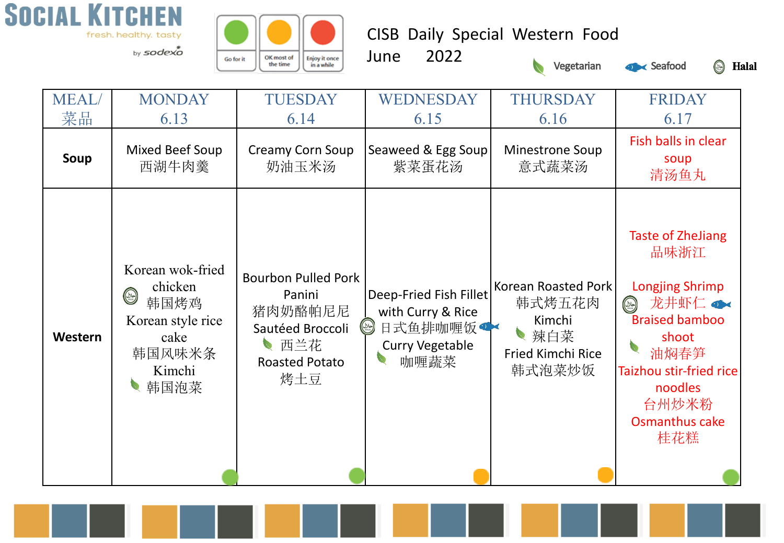

OK most of Enjoy it once<br>in a while Go for it the time

CISB Daily Special Western Food





S Halal

| <b>MEAL</b> | <b>MONDAY</b>                                                                                                  | <b>TUESDAY</b>                                                                                              | WEDNESDAY                                                                                                                                                     | <b>THURSDAY</b>                                                                      | <b>FRIDAY</b>                                                                                                                                                                                                                                                   |
|-------------|----------------------------------------------------------------------------------------------------------------|-------------------------------------------------------------------------------------------------------------|---------------------------------------------------------------------------------------------------------------------------------------------------------------|--------------------------------------------------------------------------------------|-----------------------------------------------------------------------------------------------------------------------------------------------------------------------------------------------------------------------------------------------------------------|
| 菜品          | 6.13                                                                                                           | 6.14                                                                                                        | 6.15                                                                                                                                                          | 6.16                                                                                 | 6.17                                                                                                                                                                                                                                                            |
| Soup        | Mixed Beef Soup<br>西湖牛肉羹                                                                                       | Creamy Corn Soup<br>奶油玉米汤                                                                                   | Seaweed & Egg Soup<br>紫菜蛋花汤                                                                                                                                   | <b>Minestrone Soup</b><br>意式蔬菜汤                                                      | Fish balls in clear<br>soup<br>清汤鱼丸                                                                                                                                                                                                                             |
| Western     | Korean wok-fried<br>chicken<br>$\circledcirc$<br>韩国烤鸡<br>Korean style rice<br>cake<br>韩国风味米条<br>Kimchi<br>韩国泡菜 | <b>Bourbon Pulled Pork</b><br>Panini<br>猪肉奶酪帕尼尼<br>Sautéed Broccoli<br>■西兰花<br><b>Roasted Potato</b><br>烤土豆 | Deep-Fried Fish Fillet<br>with Curry & Rice<br>$\begin{pmatrix} \omega & \omega \ \omega & \omega \end{pmatrix}$<br>日式鱼排咖喱饭<br><b>Curry Vegetable</b><br>咖喱蔬菜 | Korean Roasted Pork<br>韩式烤五花肉<br>Kimchi<br>辣白菜<br><b>Fried Kimchi Rice</b><br>韩式泡菜炒饭 | <b>Taste of ZheJiang</b><br>品味浙江<br><b>Longjing Shrimp</b><br>龙井虾仁 $\bullet\hspace{-.15cm}\bullet\hspace{-.15cm}\bullet$<br>$(\infty)$<br><b>Braised bamboo</b><br>shoot<br>油焖春笋<br>Taizhou stir-fried rice<br>noodles<br>台州炒米粉<br><b>Osmanthus cake</b><br>桂花糕 |

June 2022